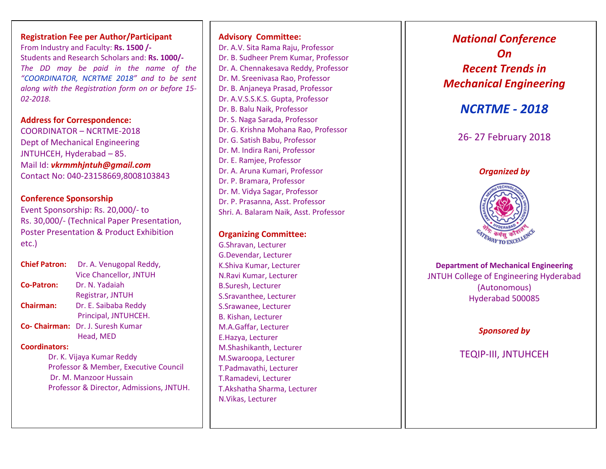**Registration Fee per Author/Participant** From Industry and Faculty: **Rs. 1500 /-** Students and Research Scholars and: **Rs. 1000/-** *The DD may be paid in the name of the "COORDINATOR, NCRTME 2018" and to be sent along with the Registration form on or before 15- 02-2018.*

#### **Address for Correspondence:**

COORDINATOR – NCRTME-2018 Dept of Mechanical Engineering JNTUHCEH, Hyderabad – 85. Mail Id: *vkrmmhjntuh@gmail.com* Contact No: 040-23158669,8008103843

#### **Conference Sponsorship**

Event Sponsorship: Rs. 20,000/- to Rs. 30,000/- (Technical Paper Presentation, Poster Presentation & Product Exhibition etc.)

**Chief Patron:** Dr. A. Venugopal Reddy, Vice Chancellor, JNTUH **Co-Patron:** Dr. N. Yadaiah Registrar, JNTUH **Chairman:** Dr. E. Saibaba Reddy Principal, JNTUHCEH. **Co- Chairman:** Dr. J. Suresh Kumar Head, MED

#### **Coordinators:**

Dr. K. Vijaya Kumar Reddy Professor & Member, Executive Council Dr. M. Manzoor Hussain Professor & Director, Admissions, JNTUH.

#### **Advisory Committee:** Dr. A.V. Sita Rama Raju, Professor Dr. B. Sudheer Prem Kumar, Professor Dr. A. Chennakesava Reddy, Professor Dr. M. Sreenivasa Rao, Professor Dr. B. Anjaneya Prasad, Professor Dr. A.V.S.S.K.S. Gupta, Professor Dr. B. Balu Naik, Professor Dr. S. Naga Sarada, Professor Dr. G. Krishna Mohana Rao, Professor Dr. G. Satish Babu, Professor Dr. M. Indira Rani, Professor Dr. E. Ramjee, Professor Dr. A. Aruna Kumari, Professor Dr. P. Bramara, Professor Dr. M. Vidya Sagar, Professor Dr. P. Prasanna, Asst. Professor Shri. A. Balaram Naik, Asst. Professor

#### **Organizing Committee:**

G.Shravan, Lecturer G.Devendar, Lecturer K.Shiva Kumar, Lecturer N.Ravi Kumar, Lecturer B.Suresh, Lecturer S.Sravanthee, Lecturer S.Srawanee, Lecturer B. Kishan, Lecturer M.A.Gaffar, Lecturer E.Hazya, Lecturer M.Shashikanth, Lecturer M.Swaroopa, Lecturer T.Padmavathi, Lecturer T.Ramadevi, Lecturer T.Akshatha Sharma, Lecturer N.Vikas, Lecturer

# *National Conference On Recent Trends in Mechanical Engineering*

## *NCRTME - 2018*

### 26- 27 February 2018

#### *Organized by*



**Department of Mechanical Engineering** JNTUH College of Engineering Hyderabad (Autonomous) Hyderabad 500085

#### *Sponsored by*

## TEQIP-III, JNTUHCEH